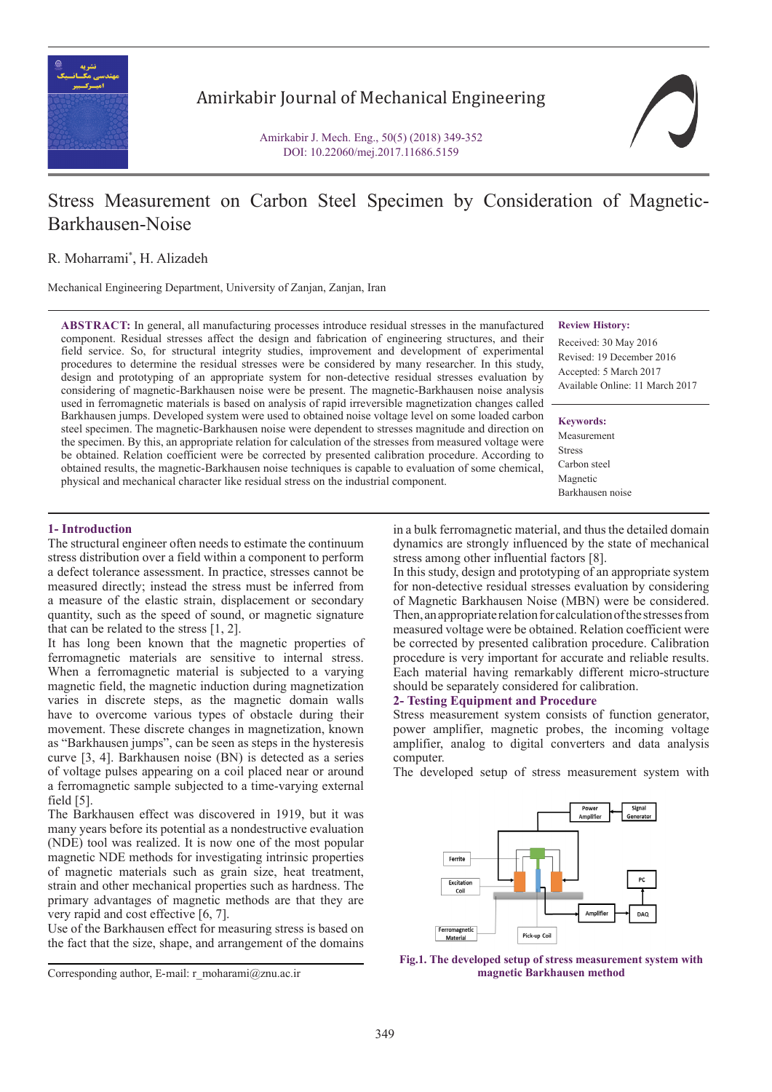

Amirkabir Journal of Mechanical Engineering

Amirkabir J. Mech. Eng., 50(5) (2018) 349-352 DOI: 10.22060/mej.2017.11686.5159



# Stress Measurement on Carbon Steel Specimen by Consideration of Magnetic-Barkhausen-Noise

R. Moharrami\* , H. Alizadeh

Mechanical Engineering Department, University of Zanjan, Zanjan, Iran

**ABSTRACT:** In general, all manufacturing processes introduce residual stresses in the manufactured component. Residual stresses affect the design and fabrication of engineering structures, and their field service. So, for structural integrity studies, improvement and development of experimental procedures to determine the residual stresses were be considered by many researcher. In this study, design and prototyping of an appropriate system for non-detective residual stresses evaluation by considering of magnetic-Barkhausen noise were be present. The magnetic-Barkhausen noise analysis used in ferromagnetic materials is based on analysis of rapid irreversible magnetization changes called Barkhausen jumps. Developed system were used to obtained noise voltage level on some loaded carbon steel specimen. The magnetic-Barkhausen noise were dependent to stresses magnitude and direction on the specimen. By this, an appropriate relation for calculation of the stresses from measured voltage were be obtained. Relation coefficient were be corrected by presented calibration procedure. According to obtained results, the magnetic-Barkhausen noise techniques is capable to evaluation of some chemical, physical and mechanical character like residual stress on the industrial component.

### **Review History:**

Received: 30 May 2016 Revised: 19 December 2016 Accepted: 5 March 2017 Available Online: 11 March 2017

**Keywords:** Measurement Stress Carbon steel Magnetic Barkhausen noise

# **1- Introduction**

The structural engineer often needs to estimate the continuum stress distribution over a field within a component to perform a defect tolerance assessment. In practice, stresses cannot be measured directly; instead the stress must be inferred from a measure of the elastic strain, displacement or secondary quantity, such as the speed of sound, or magnetic signature that can be related to the stress [1, 2].

It has long been known that the magnetic properties of ferromagnetic materials are sensitive to internal stress. When a ferromagnetic material is subjected to a varying magnetic field, the magnetic induction during magnetization varies in discrete steps, as the magnetic domain walls have to overcome various types of obstacle during their movement. These discrete changes in magnetization, known as "Barkhausen jumps", can be seen as steps in the hysteresis curve [3, 4]. Barkhausen noise (BN) is detected as a series of voltage pulses appearing on a coil placed near or around a ferromagnetic sample subjected to a time-varying external field [5].

The Barkhausen effect was discovered in 1919, but it was many years before its potential as a nondestructive evaluation (NDE) tool was realized. It is now one of the most popular magnetic NDE methods for investigating intrinsic properties of magnetic materials such as grain size, heat treatment, strain and other mechanical properties such as hardness. The primary advantages of magnetic methods are that they are very rapid and cost effective [6, 7].

Use of the Barkhausen effect for measuring stress is based on the fact that the size, shape, and arrangement of the domains

Corresponding author, E-mail: r\_moharami@znu.ac.ir

in a bulk ferromagnetic material, and thus the detailed domain dynamics are strongly influenced by the state of mechanical stress among other influential factors [8].

In this study, design and prototyping of an appropriate system for non-detective residual stresses evaluation by considering of Magnetic Barkhausen Noise (MBN) were be considered. Then, an appropriate relation for calculation of the stresses from measured voltage were be obtained. Relation coefficient were be corrected by presented calibration procedure. Calibration procedure is very important for accurate and reliable results. Each material having remarkably different micro-structure should be separately considered for calibration.

## **2- Testing Equipment and Procedure**

Stress measurement system consists of function generator, power amplifier, magnetic probes, the incoming voltage amplifier, analog to digital converters and data analysis computer.

The developed setup of stress measurement system with



**Fig.1. The developed setup of stress measurement system with magnetic Barkhausen method**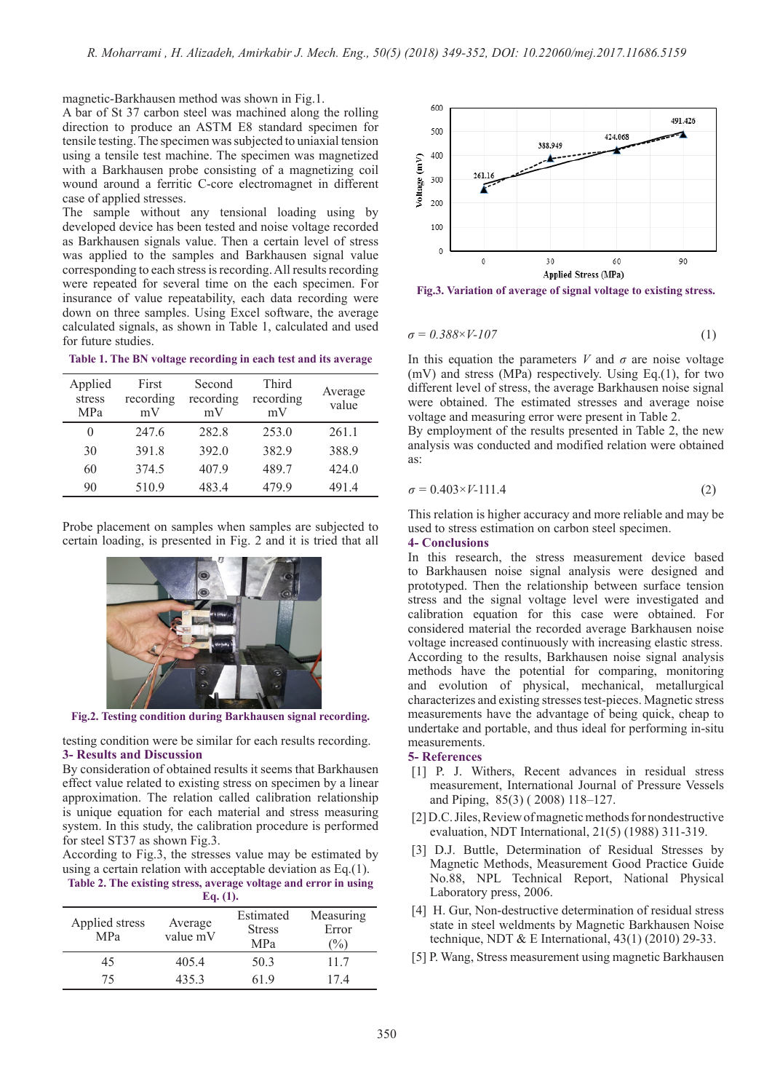magnetic-Barkhausen method was shown in Fig.1.

A bar of St 37 carbon steel was machined along the rolling direction to produce an ASTM E8 standard specimen for tensile testing. The specimen was subjected to uniaxial tension using a tensile test machine. The specimen was magnetized with a Barkhausen probe consisting of a magnetizing coil wound around a ferritic C-core electromagnet in different case of applied stresses.

The sample without any tensional loading using by developed device has been tested and noise voltage recorded as Barkhausen signals value. Then a certain level of stress was applied to the samples and Barkhausen signal value corresponding to each stress is recording. All results recording were repeated for several time on the each specimen. For insurance of value repeatability, each data recording were down on three samples. Using Excel software, the average calculated signals, as shown in Table 1, calculated and used for future studies.

**Table 1. The BN voltage recording in each test and its average**

| Applied<br>stress<br><b>MPa</b> | First<br>recording<br>mV | Second<br>recording<br>mV | Third<br>recording<br>mV | Average<br>value |
|---------------------------------|--------------------------|---------------------------|--------------------------|------------------|
| $\theta$                        | 247.6                    | 282.8                     | 253.0                    | 261.1            |
| 30                              | 391.8                    | 392.0                     | 382.9                    | 388.9            |
| 60                              | 374.5                    | 407.9                     | 489.7                    | 424.0            |
| 90                              | 510.9                    | 483.4                     | 479.9                    | 491.4            |

Probe placement on samples when samples are subjected to certain loading, is presented in Fig. 2 and it is tried that all



**Fig.2. Testing condition during Barkhausen signal recording.**

testing condition were be similar for each results recording. **3- Results and Discussion** 

By consideration of obtained results it seems that Barkhausen effect value related to existing stress on specimen by a linear approximation. The relation called calibration relationship is unique equation for each material and stress measuring system. In this study, the calibration procedure is performed for steel ST37 as shown Fig.3.

According to Fig.3, the stresses value may be estimated by using a certain relation with acceptable deviation as Eq.(1). **Table 2. The existing stress, average voltage and error in using** 

**Eq. (1).**

| Applied stress<br>MP <sub>a</sub> | Average<br>value mV | Estimated<br><b>Stress</b><br><b>MPa</b> | Measuring<br>Error<br>$\frac{1}{2}$ |
|-----------------------------------|---------------------|------------------------------------------|-------------------------------------|
| 45                                | 405.4               | 50.3                                     | 11.7                                |
| 75                                | 435.3               | 61 9                                     | 17.4                                |



**Fig.3. Variation of average of signal voltage to existing stress.**

$$
\sigma = 0.388 \times V \cdot 107 \tag{1}
$$

In this equation the parameters  $V$  and  $\sigma$  are noise voltage (mV) and stress (MPa) respectively. Using Eq.(1), for two different level of stress, the average Barkhausen noise signal were obtained. The estimated stresses and average noise voltage and measuring error were present in Table 2.

By employment of the results presented in Table 2, the new analysis was conducted and modified relation were obtained as:

$$
\sigma = 0.403 \times V \cdot 111.4\tag{2}
$$

This relation is higher accuracy and more reliable and may be used to stress estimation on carbon steel specimen.

#### **4- Conclusions**

In this research, the stress measurement device based to Barkhausen noise signal analysis were designed and prototyped. Then the relationship between surface tension stress and the signal voltage level were investigated and calibration equation for this case were obtained. For considered material the recorded average Barkhausen noise voltage increased continuously with increasing elastic stress. According to the results, Barkhausen noise signal analysis methods have the potential for comparing, monitoring and evolution of physical, mechanical, metallurgical characterizes and existing stresses test-pieces. Magnetic stress measurements have the advantage of being quick, cheap to undertake and portable, and thus ideal for performing in-situ measurements.

#### **5- References**

- [1] P. J. Withers, Recent advances in residual stress measurement, International Journal of Pressure Vessels and Piping, 85(3) ( 2008) 118–127.
- [2] D.C. Jiles, Review of magnetic methods for nondestructive evaluation, NDT International, 21(5) (1988) 311-319.
- [3] D.J. Buttle, Determination of Residual Stresses by Magnetic Methods, Measurement Good Practice Guide No.88, NPL Technical Report, National Physical Laboratory press, 2006.
- [4] H. Gur, Non-destructive determination of residual stress state in steel weldments by Magnetic Barkhausen Noise technique, NDT & E International,  $43(1)$  (2010) 29-33.
- [5] P. Wang, Stress measurement using magnetic Barkhausen